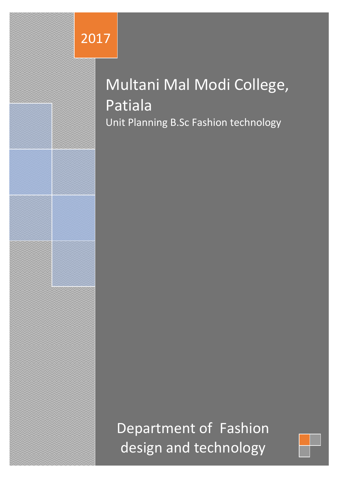# 2017

# Multani Mal Modi College, Patiala Unit Planning B.Sc Fashion technology

Department of Fashion design and technology

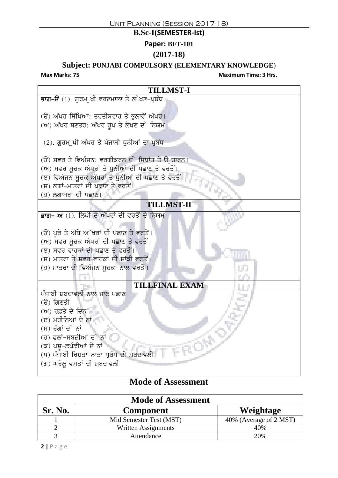### **B.Sc-I(SEMESTER-Ist)**

**Paper: BFT-101**

### **(2017-18)**

# **Subject: PUNJABI COMPULSORY (ELEMENTARY KNOWLEDGE**)

**Max Marks: 75 Maximum Time: 3 Hrs.**



| <b>Mode of Assessment</b> |                         |                        |  |
|---------------------------|-------------------------|------------------------|--|
| Sr. No.                   | <b>Component</b>        | Weightage              |  |
|                           | Mid Semester Test (MST) | 40% (Average of 2 MST) |  |
|                           | Written Assignments     | 40%                    |  |
|                           | Attendance              | 20%                    |  |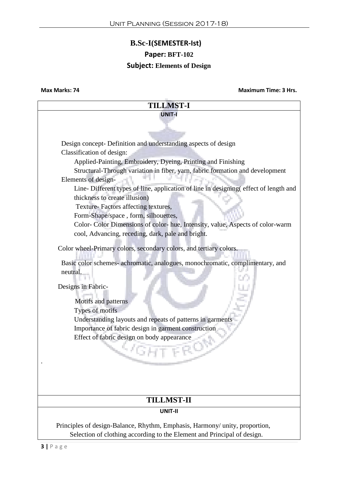### **B.Sc-I(SEMESTER-Ist)**

### **Paper: BFT-102**

### **Subject: Elements of Design**

**Max Marks: 74 Maximum Time: 3 Hrs.**

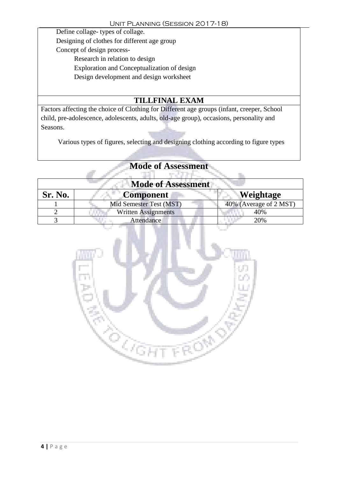Define collage- types of collage. Designing of clothes for different age group Concept of design process-Research in relation to design Exploration and Conceptualization of design Design development and design worksheet

# **TILLFINAL EXAM**

Factors affecting the choice of Clothing for Different age groups (infant, creeper, School child, pre-adolescence, adolescents, adults, old-age group), occasions, personality and Seasons.

Various types of figures, selecting and designing clothing according to figure types

| <b>Mode of Assessment</b> |                         |                        |  |
|---------------------------|-------------------------|------------------------|--|
| Sr. No.                   | <b>Component</b>        | Weightage              |  |
|                           | Mid Semester Test (MST) | 40% (Average of 2 MST) |  |
|                           | Written Assignments     | 40%                    |  |
|                           | <b>Attendance</b>       | 20%                    |  |

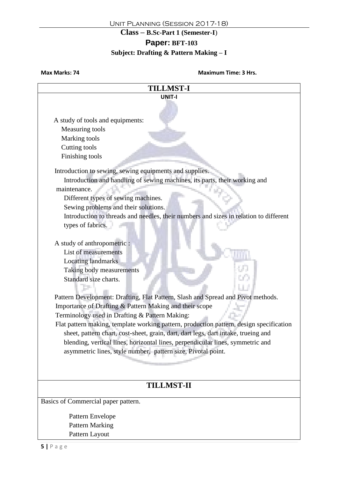### **Paper: BFT-103**

### **Subject: Drafting & Pattern Making – I**

### **Max Marks: 74 Maximum Time: 3 Hrs.**

| <b>TILLMST-I</b>                                                                        |  |  |  |
|-----------------------------------------------------------------------------------------|--|--|--|
| <b>UNIT-I</b>                                                                           |  |  |  |
|                                                                                         |  |  |  |
|                                                                                         |  |  |  |
| A study of tools and equipments:<br>Measuring tools                                     |  |  |  |
| Marking tools                                                                           |  |  |  |
| Cutting tools                                                                           |  |  |  |
| Finishing tools                                                                         |  |  |  |
|                                                                                         |  |  |  |
| Introduction to sewing, sewing equipments and supplies.                                 |  |  |  |
| Introduction and handling of sewing machines, its parts, their working and              |  |  |  |
| maintenance.                                                                            |  |  |  |
| Different types of sewing machines.                                                     |  |  |  |
| Sewing problems and their solutions.                                                    |  |  |  |
| Introduction to threads and needles, their numbers and sizes in relation to different   |  |  |  |
| types of fabrics.                                                                       |  |  |  |
|                                                                                         |  |  |  |
| A study of anthropometric :                                                             |  |  |  |
| List of measurements                                                                    |  |  |  |
| <b>Locating landmarks</b>                                                               |  |  |  |
| Taking body measurements                                                                |  |  |  |
| Standard size charts.                                                                   |  |  |  |
|                                                                                         |  |  |  |
| Pattern Development: Drafting, Flat Pattern, Slash and Spread and Pivot methods.        |  |  |  |
| Importance of Drafting & Pattern Making and their scope                                 |  |  |  |
| Terminology used in Drafting & Pattern Making:                                          |  |  |  |
| Flat pattern making, template working pattern, production pattern, design specification |  |  |  |
| sheet, pattern chart, cost-sheet, grain, dart, dart legs, dart intake, trueing and      |  |  |  |
| blending, vertical lines, horizontal lines, perpendicular lines, symmetric and          |  |  |  |
| asymmetric lines, style number, pattern size, Pivotal point.                            |  |  |  |
|                                                                                         |  |  |  |
|                                                                                         |  |  |  |
|                                                                                         |  |  |  |
| <b>TILLMST-II</b>                                                                       |  |  |  |
| Basics of Commercial paper pattern.                                                     |  |  |  |
| Pattern Envelope                                                                        |  |  |  |
| <b>Pattern Marking</b>                                                                  |  |  |  |
| Pattern Layout                                                                          |  |  |  |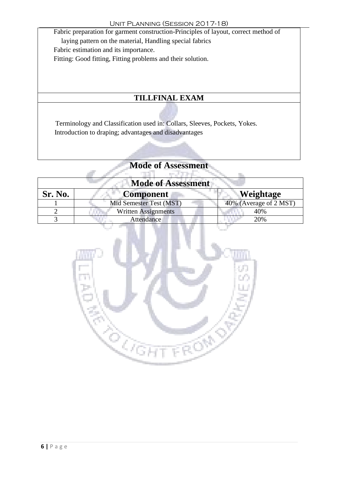Fabric preparation for garment construction-Principles of layout, correct method of laying pattern on the material, Handling special fabrics Fabric estimation and its importance. Fitting: Good fitting, Fitting problems and their solution.

# **TILLFINAL EXAM**

Terminology and Classification used in: Collars, Sleeves, Pockets, Yokes. Introduction to draping; advantages and disadvantages

| <b>Mode of Assessment</b> |                            |                        |  |
|---------------------------|----------------------------|------------------------|--|
| Sr. No.                   | <b>Component</b>           | Weightage              |  |
|                           | Mid Semester Test (MST)    | 40% (Average of 2 MST) |  |
|                           | <b>Written Assignments</b> | 40%                    |  |
|                           | Attendance                 | 20%                    |  |

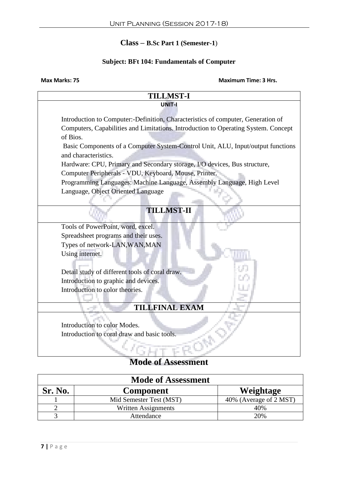### **Subject: BFt 104: Fundamentals of Computer**

**Max Marks: 75** 

| <b>Maximum Time: 3 Hrs.</b> |  |  |
|-----------------------------|--|--|

| <b>TILLMST-I</b>                                                                   |  |  |  |
|------------------------------------------------------------------------------------|--|--|--|
| UNIT-I                                                                             |  |  |  |
| Introduction to Computer:-Definition, Characteristics of computer, Generation of   |  |  |  |
| Computers, Capabilities and Limitations. Introduction to Operating System. Concept |  |  |  |
| of Bios.                                                                           |  |  |  |
| Basic Components of a Computer System-Control Unit, ALU, Input/output functions    |  |  |  |
| and characteristics.                                                               |  |  |  |
| Hardware: CPU, Primary and Secondary storage, I/O devices, Bus structure,          |  |  |  |
| Computer Peripherals - VDU, Keyboard, Mouse, Printer.                              |  |  |  |
| Programming Languages: Machine Language, Assembly Language, High Level             |  |  |  |
| Language, Object Oriented Language                                                 |  |  |  |
|                                                                                    |  |  |  |
| <b>TILLMST-II</b>                                                                  |  |  |  |
|                                                                                    |  |  |  |
| Tools of PowerPoint, word, excel.                                                  |  |  |  |
| Spreadsheet programs and their uses.                                               |  |  |  |
| Types of network-LAN, WAN, MAN                                                     |  |  |  |
| Using internet.                                                                    |  |  |  |
|                                                                                    |  |  |  |
| Detail study of different tools of coral draw.                                     |  |  |  |
| Introduction to graphic and devices.                                               |  |  |  |
| Introduction to color theories.                                                    |  |  |  |
| <b>TILLFINAL EXAM</b>                                                              |  |  |  |
|                                                                                    |  |  |  |
| Introduction to color Modes.                                                       |  |  |  |
| Introduction to coral draw and basic tools.                                        |  |  |  |
|                                                                                    |  |  |  |
|                                                                                    |  |  |  |

| <b>Mode of Assessment</b> |                         |                        |  |
|---------------------------|-------------------------|------------------------|--|
| Sr. No.                   | <b>Component</b>        | Weightage              |  |
|                           | Mid Semester Test (MST) | 40% (Average of 2 MST) |  |
|                           | Written Assignments     | 40%                    |  |
|                           | Attendance              | 20%                    |  |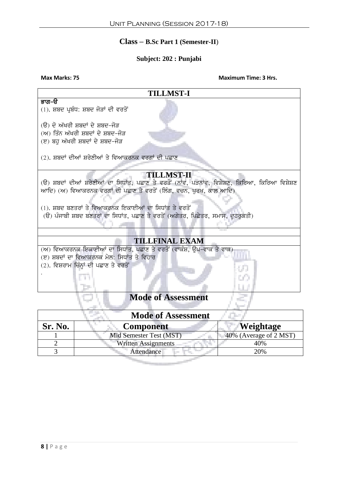### **Subject: 202 : Punjabi**

**Max Marks: 75** Maximum Time: 3 Hrs.

| <b>TILLMST-I</b>                                                                                 |  |  |
|--------------------------------------------------------------------------------------------------|--|--|
| ਭਾਗ–ੳ                                                                                            |  |  |
| $(1)$ . ਸ਼ਬਦ ਪ੍ਰਬੰਧ: ਸ਼ਬਦ ਜੋੜਾਂ ਦੀ ਵਰਤੋਂ                                                         |  |  |
| (ੳ) ਦੋ ਅੱਖਰੀ ਸ਼ਬਦਾਂ ਦੇ ਸ਼ਬਦ-ਜੋੜ                                                                  |  |  |
| (ਅ) ਤਿੰਨ ਅੱਖਰੀ ਸ਼ਬਦਾਂ ਦੇ ਸ਼ਬਦ-ਜੋੜ                                                                |  |  |
| (ੲ) ਬਹੁ ਅੱਖਰੀ ਸ਼ਬਦਾਂ ਦੇ ਸ਼ਬਦ-ਜੋੜ                                                                 |  |  |
| (2). ਸ਼ਬਦਾਂ ਦੀਆਂ ਸ਼ਰੇਣੀਆਂ ਤੇ ਵਿਆਕਰਨਕ ਵਰਗਾਂ ਦੀ ਪਛਾਣ                                               |  |  |
|                                                                                                  |  |  |
| <b>TILLMST-II</b>                                                                                |  |  |
| (ੳ) ਸ਼ਬਦਾਂ ਦੀਆਂ ਸ਼ਰੇਣੀਆਂ ਦਾ ਸਿਧਾਂਤ, ਪਛਾਣ ਤੇ ਵਰਤੋਂ (ਨਾਂਵ, ਪੜਨਾਂਵ, ਵਿਸ਼ੇਸ਼ਣ, ਕਿਰਿਆ, ਕਿਰਿਆ ਵਿਸ਼ੇਸ਼ਣ |  |  |
| ਆਦਿ) (ਅ) ਵਿਆਕਰਨਕ ਵਰਗਾਂ ਦੀ ਪਛਾਣ ਤੇ ਵਰਤੋਂ (ਲਿੰਗ, ਵਚਨ, ਪੂਰਖ, ਕਾਲ ਆਦਿ)                               |  |  |
| (1). ਸ਼ਬਦ ਬਣਤਰਾਂ ਤੇ ਵਿਆਕਰਨਕ ਇਕਾਈਆਂ ਦਾ ਸਿਧਾਂਤ ਤੇ ਵਰਤੋਂ                                            |  |  |
| (ੳ) ਪੰਜਾਬੀ ਸ਼ਬਦ ਬਣਤਰਾਂ ਦਾ ਸਿਧਾਂਤ, ਪਛਾਣ ਤੇ ਵਰਤੋਂ (ਅਗੇਤਰ, ਪਿਛੇਤਰ, ਸਮਾਸ, ਦੁਹਰੁਕਤੀ)                  |  |  |
|                                                                                                  |  |  |
|                                                                                                  |  |  |
| <b>TILLFINAL EXAM</b>                                                                            |  |  |
| (ਅ) ਵਿਆਕਰਨਕ ਇਕਾਈਆਂ ਦਾ ਸਿਧਾਂਤ, ਪਛਾਣ ਤੇ ਵਰਤੋਂ (ਵਾਕੰਸ਼, ਉਪ-ਵਾਕ ਤੇ ਵਾਕ)                              |  |  |
| (ੲ) ਸ਼ਬਦਾਂ ਦਾ ਵਿਆਕਰਨਕ ਮੇਲ: ਸਿਧਾਂਤ ਤੇ ਵਿਹਾਰ                                                       |  |  |
| (2). ਵਿਸ਼ਰਾਮ ਚਿੰਨ੍ਹਾਂ ਦੀ ਪਛਾਣ ਤੇ ਵਰਤੋਂ                                                           |  |  |
|                                                                                                  |  |  |
|                                                                                                  |  |  |
| <b>Mode of Assessment</b>                                                                        |  |  |
| <b>Mode of Assessment</b>                                                                        |  |  |
| <b>Sr. No.</b><br>Weightage<br>Component                                                         |  |  |

| <b>Sr. No.</b> | <b>Component</b>           | Weightage              |
|----------------|----------------------------|------------------------|
|                | Mid Semester Test (MST)    | 40% (Average of 2 MST) |
|                | <b>Written Assignments</b> | 40%                    |
|                | <b>Attendance</b>          | 20%                    |
|                |                            |                        |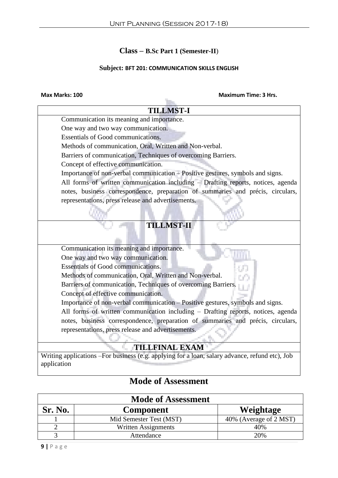### **Subject: BFT 201: COMMUNICATION SKILLS ENGLISH**

# **Max Marks: 100 Maximum Time: 3 Hrs.**

| <b>TILLMST-I</b>                                                                               |  |  |  |
|------------------------------------------------------------------------------------------------|--|--|--|
| Communication its meaning and importance.                                                      |  |  |  |
| One way and two way communication.                                                             |  |  |  |
| Essentials of Good communications.                                                             |  |  |  |
| Methods of communication, Oral, Written and Non-verbal.                                        |  |  |  |
| Barriers of communication, Techniques of overcoming Barriers.                                  |  |  |  |
| Concept of effective communication.                                                            |  |  |  |
| Importance of non-verbal communication – Positive gestures, symbols and signs.                 |  |  |  |
| All forms of written communication including - Drafting reports, notices, agenda               |  |  |  |
| notes, business correspondence, preparation of summaries and précis, circulars,                |  |  |  |
| representations, press release and advertisements.                                             |  |  |  |
|                                                                                                |  |  |  |
| <b>TILLMST-II</b>                                                                              |  |  |  |
| Communication its meaning and importance.                                                      |  |  |  |
| One way and two way communication.                                                             |  |  |  |
| <b>Essentials of Good communications.</b>                                                      |  |  |  |
| Methods of communication, Oral, Written and Non-verbal.                                        |  |  |  |
| Barriers of communication, Techniques of overcoming Barriers.                                  |  |  |  |
| Concept of effective communication.                                                            |  |  |  |
| Importance of non-verbal communication - Positive gestures, symbols and signs.                 |  |  |  |
| All forms of written communication including - Drafting reports, notices, agenda               |  |  |  |
| notes, business correspondence, preparation of summaries and précis, circulars,                |  |  |  |
| representations, press release and advertisements.                                             |  |  |  |
|                                                                                                |  |  |  |
| <b>TILLFINAL EXAM</b>                                                                          |  |  |  |
| Writing applications -For business (e.g. applying for a loan, salary advance, refund etc), Job |  |  |  |
| application                                                                                    |  |  |  |

| <b>Mode of Assessment</b> |                         |                        |  |
|---------------------------|-------------------------|------------------------|--|
| Sr. No.                   | <b>Component</b>        | Weightage              |  |
|                           | Mid Semester Test (MST) | 40% (Average of 2 MST) |  |
|                           | Written Assignments     | 40%                    |  |
|                           | Attendance              | 20%                    |  |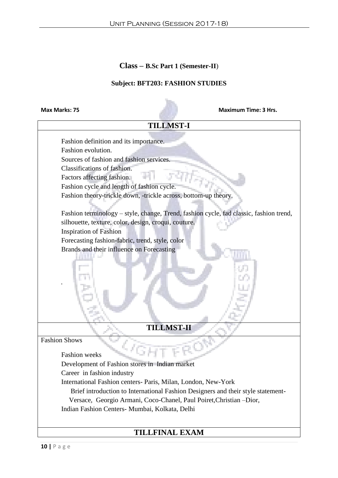### **Subject: BFT203: FASHION STUDIES**

**Max Marks: 75 Maximum Time: 3 Hrs.**

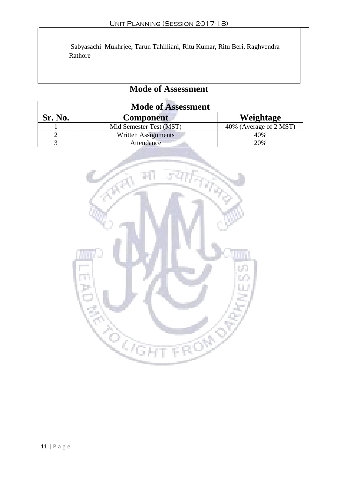Sabyasachi Mukhrjee, Tarun Tahilliani, Ritu Kumar, Ritu Beri, Raghvendra Rathore

| <b>Mode of Assessment</b> |                            |                        |  |
|---------------------------|----------------------------|------------------------|--|
| Sr. No.                   | <b>Component</b>           | Weightage              |  |
|                           | Mid Semester Test (MST)    | 40% (Average of 2 MST) |  |
|                           | <b>Written Assignments</b> | 40%                    |  |
|                           | Attendance                 | 20%                    |  |

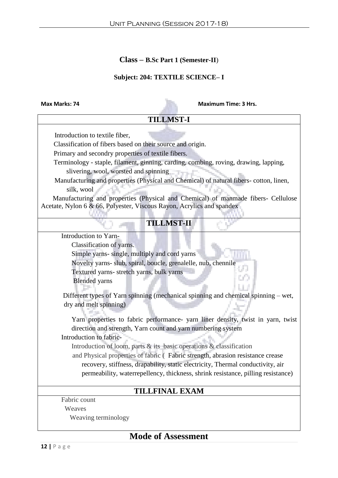### **Subject: 204: TEXTILE SCIENCE– I**

**Max Marks: 74** Maximum Time: 3 Hrs.

| <b>TILLMST-I</b>                                                                      |  |
|---------------------------------------------------------------------------------------|--|
|                                                                                       |  |
| Introduction to textile fiber,                                                        |  |
| Classification of fibers based on their source and origin.                            |  |
| Primary and secondry properties of textile fibers.                                    |  |
| Terminology - staple, filament, ginning, carding, combing, roving, drawing, lapping,  |  |
| slivering, wool, worsted and spinning                                                 |  |
| Manufacturing and properties (Physical and Chemical) of natural fibers-cotton, linen, |  |
| silk, wool                                                                            |  |
| Manufacturing and properties (Physical and Chemical) of manmade fibers- Cellulose     |  |
| Acetate, Nylon 6 & 66, Polyester, Viscous Rayon, Acrylics and spandex                 |  |
|                                                                                       |  |
| <b>TILLMST-II</b>                                                                     |  |
| Introduction to Yarn-                                                                 |  |
| Classification of yarns.                                                              |  |
| Simple yarns- single, multiply and cord yarns                                         |  |
| Novelty yarns- slub, spiral, boucle, grenalelle, nub, chennile                        |  |
| Textured yarns- stretch yarns, bulk yarns                                             |  |
| <b>Blended</b> yarns                                                                  |  |
|                                                                                       |  |
| Different types of Yarn spinning (mechanical spinning and chemical spinning – wet,    |  |
| dry and melt spinning)                                                                |  |
|                                                                                       |  |
| Yarn properties to fabric performance- yarn liner density, twist in yarn, twist       |  |
| direction and strength, Yarn count and yarn numbering system                          |  |
| Introduction to fabric-                                                               |  |
| Introduction of loom, parts & its basic operations & classification                   |  |
| and Physical properties of fabric (Fabric strength, abrasion resistance crease        |  |
| recovery, stiffness, drapability, static electricity, Thermal conductivity, air       |  |
| permeability, waterrepellency, thickness, shrink resistance, pilling resistance)      |  |
| <b>TILLFINAL EXAM</b>                                                                 |  |
| Fabric count                                                                          |  |
| Weaves                                                                                |  |
| Weaving terminology                                                                   |  |
|                                                                                       |  |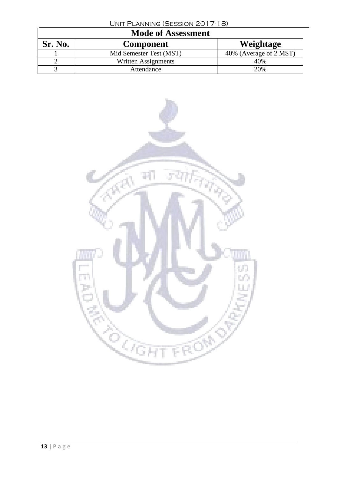| UNIT PLANNING (SESSION 2017-18) |
|---------------------------------|
|---------------------------------|

|         | <b>Mode of Assessment</b> |                        |
|---------|---------------------------|------------------------|
| Sr. No. | <b>Component</b>          | Weightage              |
|         | Mid Semester Test (MST)   | 40% (Average of 2 MST) |
|         | Written Assignments       | 40%                    |
|         | Attendance                | 20%                    |

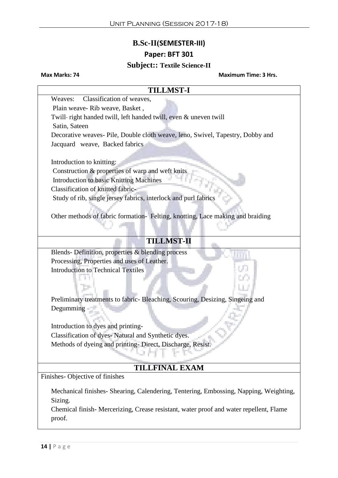### **B.Sc-II(SEMESTER-III)**

### **Paper: BFT 301**

### **Subject:: Textile Science-II**

**Max Marks: 74 Maximum Time: 3 Hrs.**

# **TILLMST-I** Weaves: Classification of weaves, Plain weave- Rib weave, Basket , Twill- right handed twill, left handed twill, even & uneven twill Satin, Sateen Decorative weaves- Pile, Double cloth weave, leno, Swivel, Tapestry, Dobby and Jacquard weave, Backed fabrics Introduction to knitting: Construction & properties of warp and weft knits Introduction to basic Knitting Machines Classification of knitted fabric-Study of rib, single jersey fabrics, interlock and purl fabrics Other methods of fabric formation- Felting, knotting, Lace making and braiding **TILLMST-II** Blends- Definition, properties & blending process Processing, Properties and uses of Leather. Introduction to Technical Textiles 19 H Preliminary treatments to fabric- Bleaching, Scouring, Desizing, Singeing and Degumming Introduction to dyes and printing-Classification of dyes- Natural and Synthetic dyes. Methods of dyeing and printing- Direct, Discharge, Resist. **TILLFINAL EXAM** Finishes- Objective of finishes Mechanical finishes- Shearing, Calendering, Tentering, Embossing, Napping, Weighting, Sizing. Chemical finish- Mercerizing, Crease resistant, water proof and water repellent, Flame proof.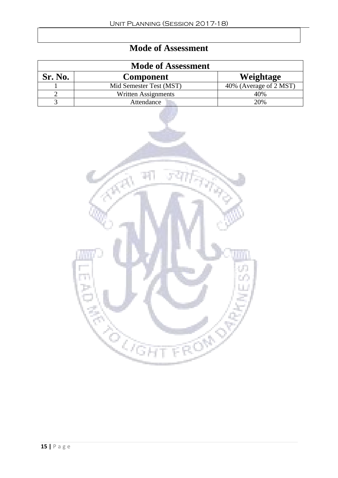|                | <b>Mode of Assessment</b> |                        |
|----------------|---------------------------|------------------------|
| <b>Sr. No.</b> | <b>Component</b>          | Weightage              |
|                | Mid Semester Test (MST)   | 40% (Average of 2 MST) |
|                | Written Assignments       | 40%                    |
|                | Attendance                | 20%                    |

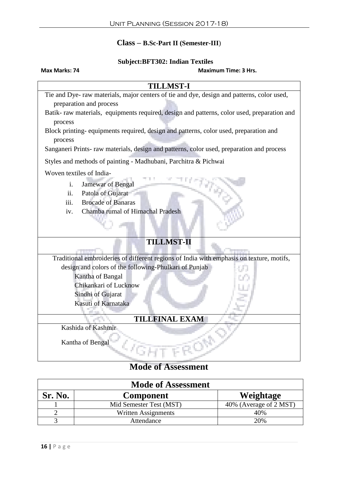### **Subject:BFT302: Indian Textiles**

### **Max Marks: 74** Maximum Time: 3 Hrs.

| <b>TILLMST-I</b>                                                                            |  |
|---------------------------------------------------------------------------------------------|--|
| Tie and Dye- raw materials, major centers of tie and dye, design and patterns, color used,  |  |
| preparation and process                                                                     |  |
| Batik- raw materials, equipments required, design and patterns, color used, preparation and |  |
| process                                                                                     |  |
| Block printing-equipments required, design and patterns, color used, preparation and        |  |
| process                                                                                     |  |
| Sanganeri Prints- raw materials, design and patterns, color used, preparation and process   |  |
| Styles and methods of painting - Madhubani, Parchitra & Pichwai                             |  |
| Woven textiles of India-                                                                    |  |
| Jamewar of Bengal<br>i.                                                                     |  |
| ii.<br>Patola of Gujarat                                                                    |  |
| <b>Brocade of Banaras</b><br>iii.                                                           |  |
| Chamba rumal of Himachal Pradesh<br>iv.                                                     |  |
|                                                                                             |  |
|                                                                                             |  |
| <b>TILLMST-II</b>                                                                           |  |
|                                                                                             |  |
| Traditional embroideries of different regions of India with emphasis on texture, motifs,    |  |
| design and colors of the following-Phulkari of Punjab                                       |  |
| Kantha of Bangal                                                                            |  |
| Chikankari of Lucknow                                                                       |  |
| Sindhi of Gujarat                                                                           |  |
| Kasuti of Karnataka                                                                         |  |
|                                                                                             |  |
| <b>TILLFINAL EXAM</b>                                                                       |  |
| Kashida of Kashmir                                                                          |  |
| Kantha of Bengal                                                                            |  |
| 48                                                                                          |  |
|                                                                                             |  |

|                | <b>Mode of Assessment</b> |                        |
|----------------|---------------------------|------------------------|
| <b>Sr. No.</b> | <b>Component</b>          | Weightage              |
|                | Mid Semester Test (MST)   | 40% (Average of 2 MST) |
|                | Written Assignments       | 40%                    |
|                | Attendance                | 20%                    |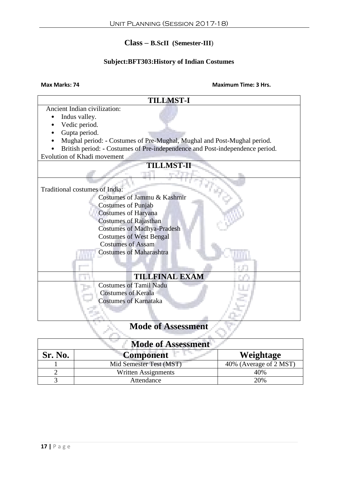### **Class – B.ScII (Semester-III**)

### **Subject:BFT303:History of Indian Costumes**

### **Max Marks: 74 Maximum Time: 3 Hrs.**



| <b>Mode of Assessment</b> |                         |                        |
|---------------------------|-------------------------|------------------------|
| Sr. No.                   | <b>Component</b>        | Weightage              |
|                           | Mid Semester Test (MST) | 40% (Average of 2 MST) |
|                           | Written Assignments     | 40%                    |
|                           | Attendance              | 20%                    |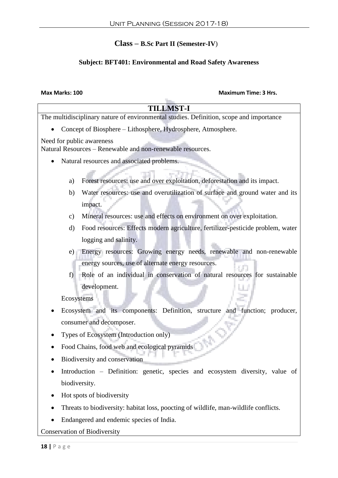### **Subject: BFT401: Environmental and Road Safety Awareness**

### **Max Marks: 100 Maximum Time: 3 Hrs.**

| <b>TILLMST-I</b>                                                                              |
|-----------------------------------------------------------------------------------------------|
| The multidisciplinary nature of environmental studies. Definition, scope and importance       |
| Concept of Biosphere - Lithosphere, Hydrosphere, Atmosphere.                                  |
| Need for public awareness<br>Natural Resources - Renewable and non-renewable resources.       |
| Natural resources and associated problems.                                                    |
| Forest resources: use and over exploitation, deforestation and its impact.<br>a)              |
| Water resources: use and overutilization of surface and ground water and its<br>b)<br>impact. |
| Mineral resources: use and effects on environment on over exploitation.<br>$\mathbf{c})$      |
| Food resources: Effects modern agriculture, fertilizer-pesticide problem, water<br>$\rm d)$   |
| logging and salinity.                                                                         |
| Energy resources: Growing energy needs, renewable and non-renewable<br>e)                     |
| energy sources, use of alternate energy resources.                                            |
| Role of an individual in conservation of natural resources for sustainable<br>$f$ )           |
| development.                                                                                  |
| Ecosystems                                                                                    |
| Ecosystem and its components: Definition, structure and function; producer,                   |
| consumer and decomposer.                                                                      |
| Types of Ecosystem (Introduction only)                                                        |
| Food Chains, food web and ecological pyramids                                                 |
| Biodiversity and conservation                                                                 |
| Introduction – Definition: genetic, species and ecosystem diversity, value of                 |
| biodiversity.                                                                                 |
| Hot spots of biodiversity                                                                     |
| Threats to biodiversity: habitat loss, poocting of wildlife, man-wildlife conflicts.          |

Endangered and endemic species of India.

Conservation of Biodiversity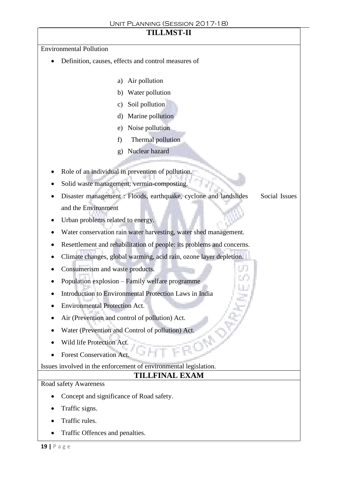# **TILLMST-II**

Environmental Pollution

- Definition, causes, effects and control measures of
	- a) Air pollution
	- b) Water pollution
	- c) Soil pollution
	- d) Marine pollution
	- e) Noise pollution
	- f) Thermal pollution
	- g) Nuclear hazard
- Role of an individual in prevention of pollution.
- Solid waste management: vermin-composting.
- Disaster management : Floods, earthquake, cyclone and landslides Social Issues and the Environment

M.

- Urban problems related to energy.
- Water conservation rain water harvesting, water shed management.
- Resettlement and rehabilitation of people: its problems and concerns.
- Climate changes, global warming, acid rain, ozone layer depletion.
- Consumerism and waste products.
- Population explosion Family welfare programme
- Introduction to Environmental Protection Laws in India
- Environmental Protection Act.
- Air (Prevention and control of pollution) Act.
- Water (Prevention and Control of pollution) Act.
- Wild life Protection Act.
- Forest Conservation Act.

Issues involved in the enforcement of environmental legislation.

### **TILLFINAL EXAM**

Road safety Awareness

- Concept and significance of Road safety.
- Traffic signs.
- Traffic rules.
- Traffic Offences and penalties.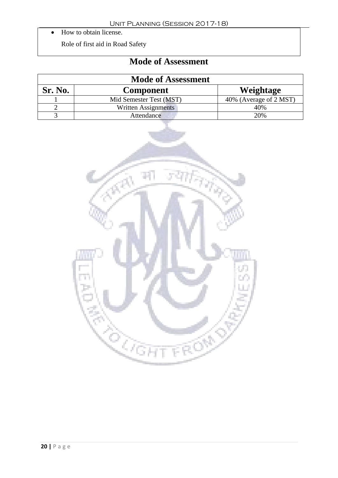• How to obtain license.

Role of first aid in Road Safety

|         | <b>Mode of Assessment</b> |                        |
|---------|---------------------------|------------------------|
| Sr. No. | <b>Component</b>          | Weightage              |
|         | Mid Semester Test (MST)   | 40% (Average of 2 MST) |
|         | Written Assignments       | 40%                    |
|         | Attendance                | 20%                    |

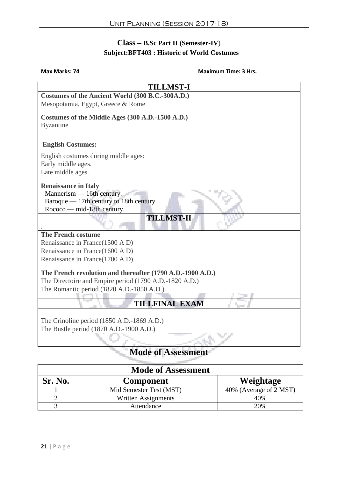### **Class – B.Sc Part II (Semester-IV**)  **Subject:BFT403 : Historic of World Costumes**

### **Max Marks: 74** Maximum Time: 3 Hrs.

| <b>TILLMST-I</b>                                                                                                                  |  |  |
|-----------------------------------------------------------------------------------------------------------------------------------|--|--|
| Costumes of the Ancient World (300 B.C.-300A.D.)                                                                                  |  |  |
| Mesopotamia, Egypt, Greece & Rome                                                                                                 |  |  |
| Costumes of the Middle Ages (300 A.D.-1500 A.D.)<br><b>Byzantine</b>                                                              |  |  |
| <b>English Costumes:</b>                                                                                                          |  |  |
| English costumes during middle ages:                                                                                              |  |  |
| Early middle ages.                                                                                                                |  |  |
| Late middle ages.                                                                                                                 |  |  |
| <b>Renaissance in Italy</b><br>Mannerism — 16th century.<br>Baroque — 17th century to 18th century.<br>Rococo — mid-18th century. |  |  |
| <b>TILLMST-II</b>                                                                                                                 |  |  |
| <b>The French costume</b>                                                                                                         |  |  |
| Renaissance in France(1500 A D)                                                                                                   |  |  |
| Renaissance in France(1600 A D)                                                                                                   |  |  |
| Renaissance in France(1700 A D)                                                                                                   |  |  |
| The French revolution and thereafter (1790 A.D.-1900 A.D.)                                                                        |  |  |
| The Directoire and Empire period (1790 A.D.-1820 A.D.)                                                                            |  |  |
| The Romantic period (1820 A.D.-1850 A.D.)                                                                                         |  |  |
| <b>TILLFINAL EXAM</b>                                                                                                             |  |  |
|                                                                                                                                   |  |  |
| The Crinoline period (1850 A.D.-1869 A.D.)                                                                                        |  |  |
| The Bustle period (1870 A.D.-1900 A.D.)                                                                                           |  |  |
|                                                                                                                                   |  |  |
| <b>Mode of Assessmen</b>                                                                                                          |  |  |

|         | <b>Mode of Assessment</b> |                        |
|---------|---------------------------|------------------------|
| Sr. No. | <b>Component</b>          | Weightage              |
|         | Mid Semester Test (MST)   | 40% (Average of 2 MST) |
|         | Written Assignments       | 40%                    |
|         | Attendance                | 20%                    |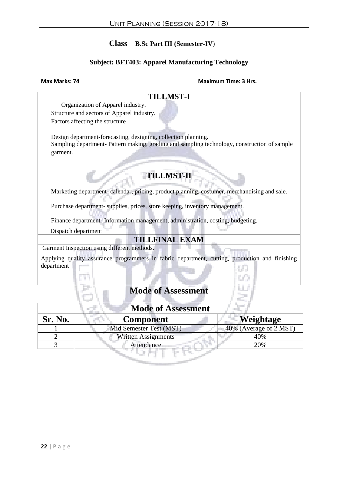### **Subject: BFT403: Apparel Manufacturing Technology**

### **Max Marks: 74 Maximum Time: 3 Hrs.**

| <b>TILLMST-I</b>                                                                               |  |
|------------------------------------------------------------------------------------------------|--|
| Organization of Apparel industry.                                                              |  |
| Structure and sectors of Apparel industry.                                                     |  |
| Factors affecting the structure                                                                |  |
|                                                                                                |  |
| Design department-forecasting, designing, collection planning.                                 |  |
| Sampling department- Pattern making, grading and sampling technology, construction of sample   |  |
| garment.                                                                                       |  |
|                                                                                                |  |
|                                                                                                |  |
| <b>TILLMST-II</b>                                                                              |  |
| Marketing department-calendar, pricing, product planning, costumer, merchandising and sale.    |  |
|                                                                                                |  |
| Purchase department- supplies, prices, store keeping, inventory management.                    |  |
| Finance department- Information management, administration, costing, budgeting.                |  |
|                                                                                                |  |
| Dispatch department                                                                            |  |
| <b>TILLFINAL EXAM</b>                                                                          |  |
| Garment Inspection using different methods.                                                    |  |
| Applying quality assurance programmers in fabric department, cutting, production and finishing |  |
| department                                                                                     |  |
|                                                                                                |  |
| <b>Mode of Assessment</b>                                                                      |  |
| <b>Mode of Assessment</b>                                                                      |  |
| Sr. No.<br>Weightage<br><b>Component</b>                                                       |  |
| 40% (Average of 2 MST)<br>Mid Semester Test (MST)                                              |  |

2 Written Assignments 40%<br>3 Attendance 20%

3 Attendance

a Tin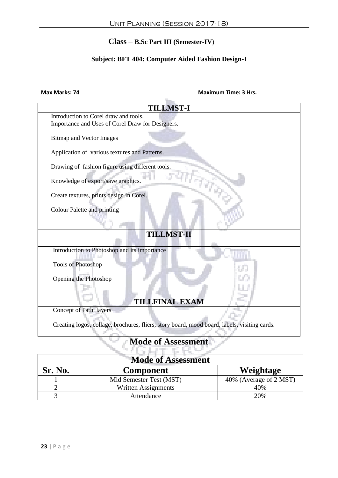### **Subject: BFT 404: Computer Aided Fashion Design-I**

### **Max Marks: 74 Maximum Time: 3 Hrs.**

| <b>TILLMST-I</b>                                                                             |  |
|----------------------------------------------------------------------------------------------|--|
| Introduction to Corel draw and tools.                                                        |  |
| Importance and Uses of Corel Draw for Designers.                                             |  |
|                                                                                              |  |
| <b>Bitmap and Vector Images</b>                                                              |  |
| Application of various textures and Patterns.                                                |  |
|                                                                                              |  |
| Drawing of fashion figure using different tools.                                             |  |
|                                                                                              |  |
| Knowledge of export/save graphics.                                                           |  |
|                                                                                              |  |
| Create textures, prints design in Corel.                                                     |  |
| Colour Palette and printing                                                                  |  |
|                                                                                              |  |
|                                                                                              |  |
| <b>TILLMST-II</b>                                                                            |  |
|                                                                                              |  |
| Introduction to Photoshop and its importance                                                 |  |
|                                                                                              |  |
| <b>Tools of Photoshop</b>                                                                    |  |
|                                                                                              |  |
| Opening the Photoshop                                                                        |  |
|                                                                                              |  |
|                                                                                              |  |
| <b>TILLFINAL EXAM</b>                                                                        |  |
| Concept of Path, layers                                                                      |  |
| Creating logos, collage, brochures, fliers, story board, mood board, labels, visiting cards. |  |
|                                                                                              |  |
| <b>Mode of Assessment</b>                                                                    |  |
|                                                                                              |  |
|                                                                                              |  |

| <b>Mode of Assessment</b> |                         |                        |  |
|---------------------------|-------------------------|------------------------|--|
| Sr. No.                   | <b>Component</b>        | Weightage              |  |
|                           | Mid Semester Test (MST) | 40% (Average of 2 MST) |  |
|                           | Written Assignments     | 40%                    |  |
|                           | Attendance              | 20%                    |  |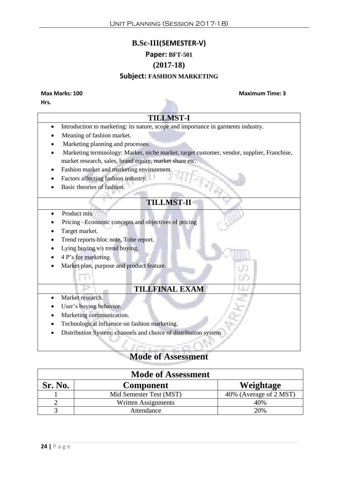# **B.Sc-III(SEMESTER-V)**

# **Paper: BFT-501**

### **(2017-18)**

### **Subject: FASHION MARKETING**

**Hrs.**

### **Max Marks: 100 Maximum Time: 3**

### **TILLMST-I**

- Introduction to marketing: its nature, scope and importance in garments industry.
- Meaning of fashion market.
- Marketing planning and processes.
- Marketing terminology: Market, niche market, target customer, vendor, supplier, Franchise, market research, sales, brand equity, market share etc.
- Fashion market and marketing environment.
- Factors affecting fashion industry.
- Basic theories of fashion.

### **TILLMST-II**

- Product mix
- Pricing –Economic concepts and objectives of pricing
- Target market.
- Trend reports-bloc note, Tobe report.
- Lying buying v/s trend buying.
- $\bullet$  4 P's for marketing.

T)

Market plan, purpose and product feature.

### **TILLFINAL EXAM**

- Market research.
- User's buying behavior.
- Marketing communication.
- Technological influence on fashion marketing.
- Distribution System: channels and choice of distribution system

| <b>Mode of Assessment</b> |                         |                        |  |
|---------------------------|-------------------------|------------------------|--|
| Sr. No.                   | <b>Component</b>        | Weightage              |  |
|                           | Mid Semester Test (MST) | 40% (Average of 2 MST) |  |
|                           | Written Assignments     | 40%                    |  |
|                           | Attendance              | 20%                    |  |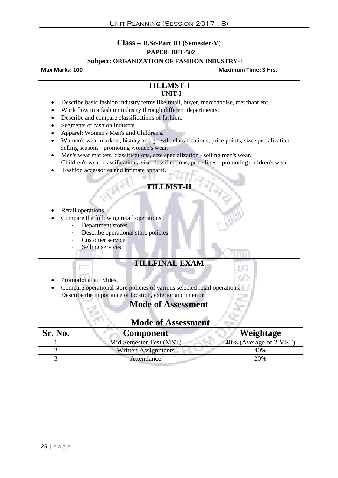### **Class – B.Sc-Part III (Semester-V**)

### **PAPER: BFT-502**

### **Subject: ORGANIZATION OF FASHION INDUSTRY-I**

### **Max Marks: 100 Maximum Time: 3 Hrs.**

### **TILLMST-I UNIT-I**

- Describe basic fashion industry terms like retail, buyer, merchandise, merchant etc. Work flow in a fashion industry through different departments. Describe and compare classifications of fashion. • Segments of fashion industry. Apparel: Women's Men's and Children's. Women's wear markets, history and growth, classifications, price points, size specialization selling seasons - promoting women's wear.
	- Men's wear markets, classifications, size specialization selling men's wear. Children's wear-classifications, size classifications, price lines - promoting children's wear.
	- Fashion accessories and intimate apparel.
		- **TILLMST-II**
	- Retail operations.
	- Compare the following retail operations:
		- Department stores
			- Describe operational store policies
			- Customer service.
				- Selling services

e en

### **TILLFINAL EXAM**

- Promotional activities.
- Compare operational store policies of various selected retail operations. Describe the importance of location, exterior and interior

| <b>Mode of Assessment</b> |                            |                        |  |
|---------------------------|----------------------------|------------------------|--|
| Sr. No.                   | <b>Component</b>           | Weightage              |  |
|                           | Mid Semester Test (MST)    | 40% (Average of 2 MST) |  |
|                           | <b>Written Assignments</b> | 40%                    |  |
|                           | Attendance                 | 20%                    |  |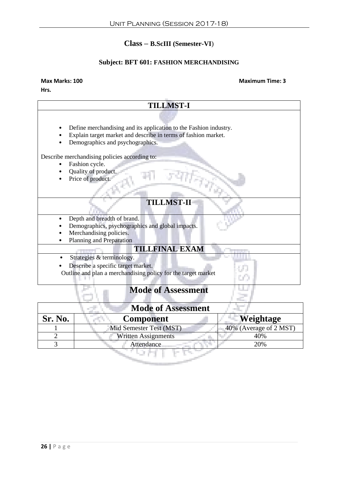# **Class – B.ScIII (Semester-VI**)

### **Subject: BFT 601: FASHION MERCHANDISING**

### **Max Marks: 100 Maximum Time: 3**

**Hrs.**

| <b>TILLMST-I</b>                                                                                   |
|----------------------------------------------------------------------------------------------------|
|                                                                                                    |
| Define merchandising and its application to the Fashion industry.                                  |
| Explain target market and describe in terms of fashion market.<br>Demographics and psychographics. |
|                                                                                                    |
| Describe merchandising policies according to:<br>Fashion cycle.                                    |
| Quality of product.                                                                                |
| Price of product.                                                                                  |
|                                                                                                    |
| <b>TILLMST-II</b>                                                                                  |
| Depth and breadth of brand.                                                                        |
| Demographics, psychographics and global impacts.                                                   |
| Merchandising policies.<br>Planning and Preparation                                                |
| <b>TILLFINAL EXAM</b>                                                                              |
| Strategies & terminology.                                                                          |
| Describe a specific target market.                                                                 |
| Outline and plan a merchandising policy for the target market                                      |
| <b>Mode of Assessment</b>                                                                          |

| <b>Mode of Assessment</b> |                            |                        |
|---------------------------|----------------------------|------------------------|
| Sr. No.                   | <b>Component</b>           | Weightage              |
|                           | Mid Semester Test (MST)    | 40% (Average of 2 MST) |
|                           | <b>Written Assignments</b> | 40%                    |
|                           | Attendance                 | 20%                    |
|                           |                            |                        |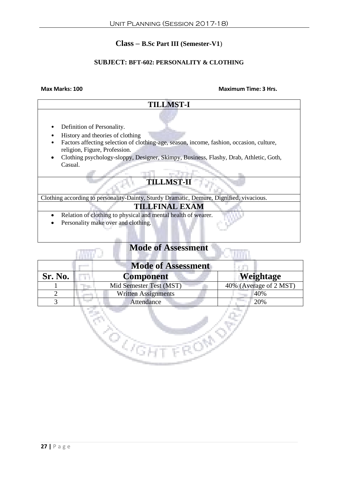### **Class – B.Sc Part III (Semester-V1**)

### **SUBJECT: BFT-602: PERSONALITY & CLOTHING**

**SALVAL** 

# **TILLMST-I** • Definition of Personality. • History and theories of clothing • Factors affecting selection of clothing-age, season, income, fashion, occasion, culture, religion, Figure, Profession. Clothing psychology-sloppy, Designer, Skimpy, Business, Flashy, Drab, Athletic, Goth, Casual. 7 in Le **TILLMST-II** Clothing according to personality-Dainty, Sturdy Dramatic, Demure, Dignified, vivacious. **TILLFINAL EXAM** • Relation of clothing to physical and mental health of wearer. • Personality make over and clothing.

# **Mode of Assessment**

| <b>Mode of Assessment</b> |                            |                        |
|---------------------------|----------------------------|------------------------|
| Sr. No.                   | <b>Component</b>           | Weightage              |
|                           | Mid Semester Test (MST)    | 40% (Average of 2 MST) |
|                           | <b>Written Assignments</b> | 40%                    |
|                           | Attendance                 | 20%                    |

do de porto.<br>Como de porto de porto.<br>Como de porto de porto.

**TROND** 

### **Max Marks: 100 Maximum Time: 3 Hrs.**

n and